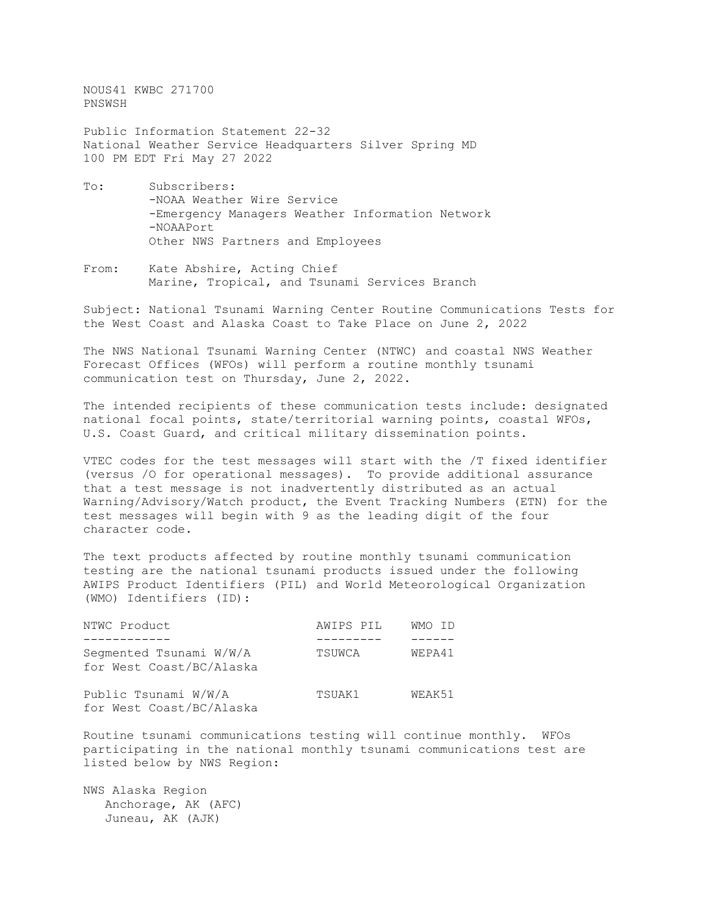NOUS41 KWBC 271700 PNSWSH

Public Information Statement 22-32 National Weather Service Headquarters Silver Spring MD 100 PM EDT Fri May 27 2022

- To: Subscribers: -NOAA Weather Wire Service -Emergency Managers Weather Information Network -NOAAPort Other NWS Partners and Employees
- From: Kate Abshire, Acting Chief Marine, Tropical, and Tsunami Services Branch

Subject: National Tsunami Warning Center Routine Communications Tests for the West Coast and Alaska Coast to Take Place on June 2, 2022

The NWS National Tsunami Warning Center (NTWC) and coastal NWS Weather Forecast Offices (WFOs) will perform a routine monthly tsunami communication test on Thursday, June 2, 2022.

The intended recipients of these communication tests include: designated national focal points, state/territorial warning points, coastal WFOs, U.S. Coast Guard, and critical military dissemination points.

VTEC codes for the test messages will start with the /T fixed identifier (versus /O for operational messages). To provide additional assurance that a test message is not inadvertently distributed as an actual Warning/Advisory/Watch product, the Event Tracking Numbers (ETN) for the test messages will begin with 9 as the leading digit of the four character code.

The text products affected by routine monthly tsunami communication testing are the national tsunami products issued under the following AWIPS Product Identifiers (PIL) and World Meteorological Organization (WMO) Identifiers (ID):

| NTWC Product                                        | AWIPS PIL | WMO ID |
|-----------------------------------------------------|-----------|--------|
|                                                     |           |        |
| Segmented Tsunami W/W/A<br>for West Coast/BC/Alaska | TSUWCA    | WEPA41 |
| Public Tsunami W/W/A<br>for West Coast/BC/Alaska    | TSUAK1    | WEAK51 |

Routine tsunami communications testing will continue monthly. WFOs participating in the national monthly tsunami communications test are listed below by NWS Region:

NWS Alaska Region Anchorage, AK (AFC) Juneau, AK (AJK)